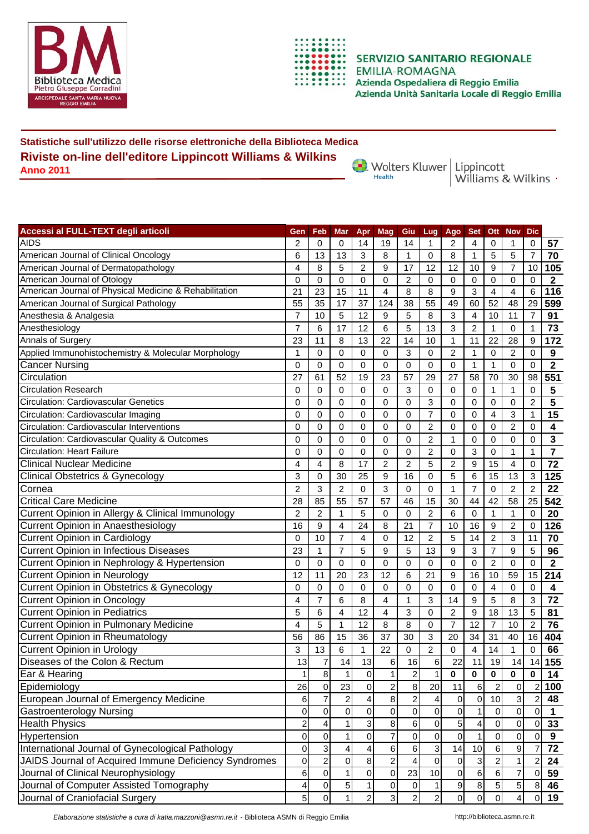



**SERVIZIO SANITARIO REGIONALE** Azienda Unità Sanitaria Locale di Reggio Emilia

## **Statistiche sull'utilizzo delle risorse elettroniche della Biblioteca Medica Riviste on-line dell'editore Lippincott Williams & Wilkins Anno 2011**

Wolters Kluwer | Lippincott<br>Williams & Wilkins

| Accessi al FULL-TEXT degli articoli                    | Gen                     | Feb            | Mar            | Apr                 | Mag            | Giu                     | Lug                       | Ago              | <b>Set</b>     | Ott            | <b>Nov</b>     | <b>Dic</b>     |                         |
|--------------------------------------------------------|-------------------------|----------------|----------------|---------------------|----------------|-------------------------|---------------------------|------------------|----------------|----------------|----------------|----------------|-------------------------|
| AIDS                                                   | $\overline{\mathbf{c}}$ | 0              | 0              | 14                  | 19             | 14                      | 1                         | 2                | 4              | 0              |                | 0              | 57                      |
| American Journal of Clinical Oncology                  | 6                       | 13             | 13             | 3                   | 8              | 1                       | 0                         | 8                | 1              | 5              | 5              | 7              | 70                      |
| American Journal of Dermatopathology                   | 4                       | 8              | 5              | 2                   | 9              | 17                      | 12                        | 12               | 10             | 9              | 7              | 10             | 105                     |
| American Journal of Otology                            | 0                       | 0              | 0              | 0                   | 0              | 2                       | 0                         | 0                | 0              | 0              | 0              | 0              | $\mathbf 2$             |
| American Journal of Physical Medicine & Rehabilitation | 21                      | 23             | 15             | 11                  | 4              | 8                       | 8                         | 9                | 3              | 4              | 4              | 6              | 116                     |
| American Journal of Surgical Pathology                 | 55                      | 35             | 17             | 37                  | 124            | 38                      | 55                        | 49               | 60             | 52             | 48             | 29             | 599                     |
| Anesthesia & Analgesia                                 | $\overline{7}$          | 10             | 5              | 12                  | 9              | 5                       | 8                         | 3                | 4              | 10             | 11             | 7              | 91                      |
| Anesthesiology                                         | $\overline{7}$          | 6              | 17             | 12                  | 6              | 5                       | 13                        | 3                | $\overline{2}$ | $\mathbf{1}$   | 0              | 1              | 73                      |
| Annals of Surgery                                      | 23                      | 11             | 8              | 13                  | 22             | 14                      | 10                        | 1                | 11             | 22             | 28             | 9              | 172                     |
| Applied Immunohistochemistry & Molecular Morphology    | $\mathbf{1}$            | 0              | 0              | 0                   | 0              | 3                       | $\mathbf 0$               | $\overline{2}$   | 1              | $\mathbf 0$    | 2              | 0              | 9                       |
| <b>Cancer Nursing</b>                                  | 0                       | 0              | $\mathbf 0$    | $\mathbf 0$         | $\mathbf 0$    | $\mathbf 0$             | $\mathbf 0$               | $\mathbf 0$      | $\mathbf{1}$   | $\mathbf{1}$   | 0              | $\mathbf 0$    | $\overline{2}$          |
| Circulation                                            | 27                      | 61             | 52             | 19                  | 23             | 57                      | 29                        | 27               | 58             | 70             | 30             | 98             | 551                     |
| <b>Circulation Research</b>                            | 0                       | 0              | 0              | 0                   | 0              | 3                       | 0                         | 0                | 0              | 1              | 1              | 0              | 5                       |
| <b>Circulation: Cardiovascular Genetics</b>            | 0                       | $\Omega$       | $\mathbf 0$    | $\Omega$            | $\mathbf 0$    | $\mathbf 0$             | 3                         | $\mathbf 0$      | $\mathbf 0$    | 0              | 0              | $\overline{2}$ | 5                       |
| Circulation: Cardiovascular Imaging                    | 0                       | $\Omega$       | $\mathbf 0$    | $\Omega$            | 0              | 0                       | 7                         | 0                | 0              | 4              | 3              | 1              | 15                      |
| Circulation: Cardiovascular Interventions              | 0                       | 0              | 0              | 0                   | 0              | 0                       | $\overline{2}$            | 0                | 0              | 0              | 2              | 0              | 4                       |
| Circulation: Cardiovascular Quality & Outcomes         | 0                       | 0              | 0              | 0                   | 0              | $\Omega$                | $\overline{c}$            | 1                | 0              | 0              | 0              | 0              | 3                       |
| <b>Circulation: Heart Failure</b>                      | 0                       | 0              | 0              | 0                   | 0              | 0                       | $\overline{2}$            | 0                | 3              | 0              | $\mathbf{1}$   | 1              | 7                       |
| <b>Clinical Nuclear Medicine</b>                       | 4                       | 4              | 8              | 17                  | 2              | 2                       | 5                         | 2                | 9              | 15             | 4              | 0              | 72                      |
| <b>Clinical Obstetrics &amp; Gynecology</b>            | 3                       | 0              | 30             | 25                  | 9              | 16                      | 0                         | 5                | 6              | 15             | 13             | 3              | 125                     |
| Cornea                                                 | $\overline{2}$          | 3              | $\overline{2}$ | $\Omega$            | 3              | 0                       | 0                         | 1                | 7              | $\Omega$       | 2              | $\overline{c}$ | 22                      |
| <b>Critical Care Medicine</b>                          | 28                      | 85             | 55             | 57                  | 57             | 46                      | 15                        | 30               | 44             | 42             | 58             | 25             | 542                     |
| Current Opinion in Allergy & Clinical Immunology       | $\overline{2}$          | $\overline{2}$ | $\mathbf{1}$   | 5                   | 0              | $\Omega$                | $\overline{c}$            | 6                | $\mathbf 0$    | 1              | 1              | $\mathbf 0$    | 20                      |
| Current Opinion in Anaesthesiology                     | 16                      | 9              | $\overline{4}$ | 24                  | 8              | 21                      | $\overline{7}$            | 10               | 16             | 9              | $\overline{c}$ | $\mathbf 0$    | 126                     |
| <b>Current Opinion in Cardiology</b>                   | 0                       | 10             | $\overline{7}$ | 4                   | 0              | 12                      | $\overline{2}$            | 5                | 14             | $\overline{2}$ | 3              | 11             | 70                      |
| <b>Current Opinion in Infectious Diseases</b>          | 23                      | 1              | $\overline{7}$ | 5                   | 9              | 5                       | 13                        | 9                | 3              | $\overline{7}$ | 9              | 5              | 96                      |
| Current Opinion in Nephrology & Hypertension           | $\mathbf 0$             | $\Omega$       | $\Omega$       | $\Omega$            | $\mathbf 0$    | $\mathbf 0$             | $\mathbf 0$               | $\mathbf 0$      | $\mathbf 0$    | $\overline{2}$ | 0              | 0              | $\overline{\mathbf{c}}$ |
| <b>Current Opinion in Neurology</b>                    | 12                      | 11             | 20             | 23                  | 12             | 6                       | 21                        | 9                | 16             | 10             | 59             | 15             | 214                     |
| Current Opinion in Obstetrics & Gynecology             | 0                       | 0              | 0              | 0                   | 0              | 0                       | 0                         | 0                | 0              | $\overline{4}$ | 0              | 0              | 4                       |
| <b>Current Opinion in Oncology</b>                     | 4                       | 7              | 6              | 8                   | 4              | 1                       | $\ensuremath{\mathsf{3}}$ | 14               | 9              | 5              | 8              | 3              | 72                      |
| <b>Current Opinion in Pediatrics</b>                   | 5                       | 6              | 4              | 12                  | 4              | 3                       | 0                         | $\overline{2}$   | 9              | 18             | 13             | 5              | 81                      |
| <b>Current Opinion in Pulmonary Medicine</b>           | 4                       | 5              | 1              | 12                  | 8              | 8                       | 0                         | 7                | 12             | 7              | 10             | 2              | 76                      |
| <b>Current Opinion in Rheumatology</b>                 | 56                      | 86             | 15             | 36                  | 37             | 30                      | 3                         | 20               | 34             | 31             | 40             | 16             | 404                     |
| <b>Current Opinion in Urology</b>                      | 3                       | 13             | 6              | 1                   | 22             | 0                       | $\overline{c}$            | 0                | 4              | 14             | 1              | 0              | 66                      |
| Diseases of the Colon & Rectum                         | 13                      | 7              | 14             | 13                  | 6              | 16                      | 6                         | 22               | 11             | 19             | 14             | 14             | 155                     |
| Ear & Hearing                                          | 1                       | 8              | $\mathbf{1}$   | 0                   | 1              | $\overline{2}$          | $\mathbf{1}$              | $\mathbf 0$      | 0              | $\bf{0}$       | $\mathbf 0$    | $\mathbf 0$    | 14                      |
| Epidemiology                                           | 26                      | 0              | 23             | 0                   | $\overline{c}$ | 8                       | 20                        | 11               | 6              | $\overline{2}$ | 0              | $\overline{2}$ | 100                     |
| European Journal of Emergency Medicine                 | 6                       | 7              | 2              | 4                   | 8              | $\overline{\mathbf{c}}$ | 4                         | $\overline{0}$   | $\mathbf 0$    | 10             | 3              | $\overline{a}$ | 48                      |
| Gastroenterology Nursing                               | $\mathbf 0$             | 0              | $\overline{0}$ | $\mathbf 0$         | $\overline{0}$ | $\mathbf 0$             | 0                         | $\pmb{0}$        |                | 0              | $\mathbf 0$    | $\overline{0}$ | 1                       |
| <b>Health Physics</b>                                  | $\overline{a}$          | 4              |                | 3                   | 8              | 6                       | 0                         | 5                | 4              | 0              | $\overline{0}$ | $\overline{0}$ | 33                      |
| Hypertension                                           | $\mathbf{O}$            | 0              |                | $\mathsf{O}\xspace$ | 7              | $\mathbf 0$             | 0                         | $\mathbf 0$      |                | 0              | 0              | 0              | 9                       |
| International Journal of Gynecological Pathology       | $\overline{0}$          | $\overline{3}$ | 4              | 4                   | 6              | 6                       | 3                         | 14               | 10             | 6              | 9              | 7              | 72                      |
| JAIDS Journal of Acquired Immune Deficiency Syndromes  | $\overline{0}$          | $\overline{2}$ | 0              | 8                   | $\overline{c}$ | $\overline{\mathbf{4}}$ | 0                         | $\pmb{0}$        | 3              | $\overline{c}$ | 1 <sup>1</sup> | 2              | 24                      |
| Journal of Clinical Neurophysiology                    | $6 \mid$                | $\overline{0}$ | $\mathbf{1}$   | $\mathsf{O}\xspace$ | 0              | 23                      | 10                        | $\overline{0}$   | 6              | 6              | 7              | $\mathbf 0$    | 59                      |
| Journal of Computer Assisted Tomography                | $\overline{4}$          | $\overline{0}$ | 5              | $\mathbf{1}$        | $\mathbf 0$    | $\pmb{0}$               | $\mathbf{1}$              | $\boldsymbol{9}$ | 8              | 5              | $\overline{5}$ | $\bf{8}$       | 46                      |
| Journal of Craniofacial Surgery                        | 5 <sup>1</sup>          | $\overline{0}$ | $\mathbf{1}$   | $\overline{2}$      | $\overline{3}$ | $\overline{2}$          | $\overline{c}$            | $\overline{0}$   | $\mathbf 0$    | $\overline{0}$ | $\overline{4}$ | $\overline{0}$ | 19                      |
|                                                        |                         |                |                |                     |                |                         |                           |                  |                |                |                |                |                         |

*Elaborazione statistiche a cura di katia.mazzoni@asmn.re.it* - Biblioteca ASMN di Reggio Emilia http://biblioteca.asmn.re.it